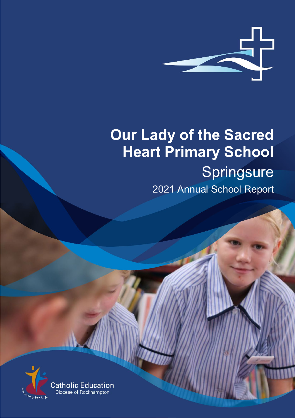

# **Our Lady of the Sacred Heart Primary School** Springsure 2021 Annual School Report

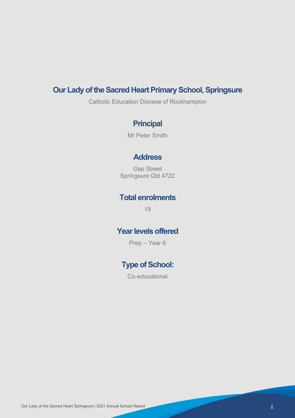# **Our Lady of the Sacred Heart Primary School, Springsure**

Catholic Education Diocese of Rockhampton

# **Principal**

Mr Peter Smith

### **Address**

Gap Street Springsure Qld 4722

# **Total enrolments**

19

# **Year levels offered**

Prep – Year 6

# **Type of School:**

Co-educational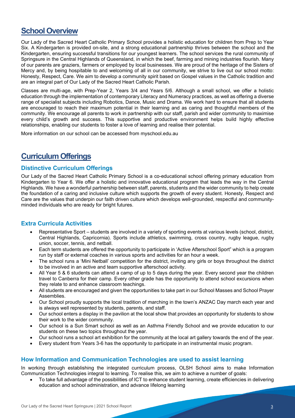# **School Overview**

Our Lady of the Sacred Heart Catholic Primary School provides a holistic education for children from Prep to Year Six. A Kindergarten is provided on-site, and a strong educational partnership thrives between the school and the Kindergarten, ensuring successful transitions for our youngest learners. The school services the rural community of Springsure in the Central Highlands of Queensland, in which the beef, farming and mining industries flourish. Many of our parents are graziers, farmers or employed by local businesses. We are proud of the heritage of the Sisters of Mercy and, by being hospitable to and welcoming of all in our community, we strive to live out our school motto: Honesty, Respect, Care. We aim to develop a community spirit based on Gospel values in the Catholic tradition and are an integral part of Our Lady of the Sacred Heart Catholic Parish.

Classes are multi-age, with Prep-Year 2, Years 3/4 and Years 5/6. Although a small school, we offer a holistic education through the implementation of contemporary Literacy and Numeracy practices, as well as offering a diverse range of specialist subjects including Robotics, Dance, Music and Drama. We work hard to ensure that all students are encouraged to reach their maximum potential in their learning and as caring and thoughtful members of the community. We encourage all parents to work in partnership with our staff, parish and wider community to maximise every child's growth and success. This supportive and productive environment helps build highly effective relationships, enabling our students to foster a love of learning and realise their potential.

More information on our school can be accessed from myschool.edu.au

# **Curriculum Offerings**

#### **Distinctive Curriculum Offerings**

Our Lady of the Sacred Heart Catholic Primary School is a co-educational school offering primary education from Kindergarten to Year 6. We offer a holistic and innovative educational program that leads the way in the Central Highlands. We have a wonderful partnership between staff, parents, students and the wider community to help create the foundation of a caring and inclusive culture which supports the growth of every student. Honesty, Respect and Care are the values that underpin our faith driven culture which develops well-grounded, respectful and communityminded individuals who are ready for bright futures.

#### **Extra Curricula Activities**

- Representative Sport students are involved in a variety of sporting events at various levels (school, district, Central Highlands, Capricornia). Sports include athletics, swimming, cross country, rugby league, rugby union, soccer, tennis, and netball.
- Each term students are offered the opportunity to participate in 'Active Afterschool Sport" which is a program run by staff or external coaches in various sports and activities for an hour a week.
- The school runs a 'Mini Netball' competition for the district, inviting any girls or boys throughout the district to be involved in an active and team supportive afterschool activity.
- All Year 5 & 6 students can attend a camp of up to 5 days during the year. Every second year the children travel to Canberra for their camp. Every other grade has the opportunity to attend school excursions when they relate to and enhance classroom teachings.
- All students are encouraged and given the opportunities to take part in our School Masses and School Prayer Assemblies.
- Our School proudly supports the local tradition of marching in the town's ANZAC Day march each year and is always well represented by students, parents, and staff.
- Our school enters a display in the pavilion at the local show that provides an opportunity for students to show their work to the wider community.
- Our school is a Sun Smart school as well as an Asthma Friendly School and we provide education to our students on these two topics throughout the year.
- Our school runs a school art exhibition for the community at the local art gallery towards the end of the year.
- Every student from Years 3-6 has the opportunity to participate in an instrumental music program.

#### **How Information and Communication Technologies are used to assist learning**

In working through establishing the integrated curriculum process, OLSH School aims to make Information Communication Technologies integral to learning. To realise this, we aim to achieve a number of goals:

• To take full advantage of the possibilities of ICT to enhance student learning, create efficiencies in delivering education and school administration, and advance lifelong learning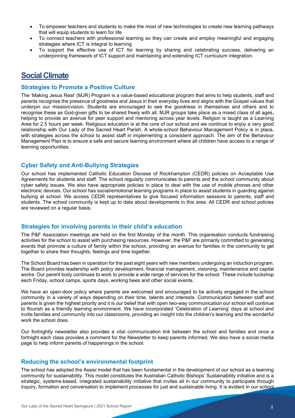- To empower teachers and students to make the most of new technologies to create new learning pathways that will equip students to learn for life
- To connect teachers with professional learning so they can create and employ meaningful and engaging strategies where ICT is integral to learning
- To support the effective use of ICT for learning by sharing and celebrating success, delivering an underpinning framework of ICT support and maintaining and extending ICT curriculum integration.

### **Social Climate**

#### **Strategies to Promote a Positive Culture**

The 'Making Jesus Real' (MJR) Program is a value-based educational program that aims to help students, staff and parents recognise the presence of goodness and Jesus in their everyday lives and aligns with the Gospel values that underpin our mission/vision. Students are encouraged to see the goodness in themselves and others and to recognise these as God-given gifts to be shared freely with all. MJR groups take place as a mixed class of all ages, helping to provide an avenue for peer support and mentoring across year levels. Religion is taught as a Learning Area for 2.5 hours per week. Religious education is at the core of our school and we continue to enjoy a very good relationship with Our Lady of the Sacred Heart Parish. A whole-school Behaviour Management Policy is in place, with strategies across the school to assist staff in implementing a consistent approach. The aim of the Behaviour Management Plan is to ensure a safe and secure learning environment where all children have access to a range of learning opportunities.

#### **Cyber Safety and Anti-Bullying Strategies**

Our school has implemented Catholic Education Diocese of Rockhampton (CEDR) policies on Acceptable Use Agreements for students and staff. The school regularly communicates to parents and the school community about cyber safety issues. We also have appropriate policies in place to deal with the use of mobile phones and other electronic devices. Our school has social/emotional learning programs in place to assist students in guarding against bullying at school. We access CEDR representatives to give focused information sessions to parents, staff and students. The school community is kept up to date about developments in this area. All CEDR and school policies are reviewed on a regular basis.

#### **Strategies for involving parents in their child's education**

The P&F Association meetings are held on the first Monday of the month. This organisation conducts fundraising activities for the school to assist with purchasing resources. However, the P&F are primarily committed to generating events that promote a culture of family within the school, providing an avenue for families in the community to get together to share their thoughts, feelings and time together.

The School Board has been in operation for the past eight years with new members undergoing an induction program. The Board provides leadership with policy development, financial management, visioning, maintenance and capital works. Our parent body continues to work to provide a wide range of services for the school. These include tuckshop each Friday, school camps, sports days, working bees and other social events.

We have an open-door policy where parents are welcomed and encouraged to be actively engaged in the school community in a variety of ways depending on their time, talents and interests. Communication between staff and parents is given the highest priority and it is our belief that with open two-way communication our school will continue to flourish as a friendly learning environment. We have incorporated 'Celebration of Learning' days at school and invite families and community into our classrooms, providing an insight into the children's learning and the wonderful work the school does.

Our fortnightly newsletter also provides a vital communication link between the school and families and once a fortnight each class provides a comment for the Newsletter to keep parents informed. We also have a social media page to help inform parents of happenings in the school.

#### **Reducing the school's environmental footprint**

The school has adopted the Assisi model that has been fundamental in the development of our school as a learning community for sustainability. This model constitutes the Australian Catholic Bishops' Sustainability initiative and is a strategic, systems-based, integrated sustainability initiative that invites all in our community to participate through inquiry, formation and conversation to implement processes for just and sustainable living. It is evident in our school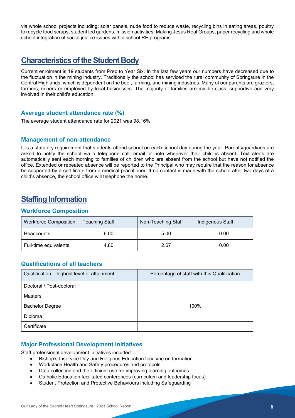via whole school projects including: solar panels, nude food to reduce waste, recycling bins in eating areas, poultry to recycle food scraps, student led gardens, mission activities, Making Jesus Real Groups, paper recycling and whole school integration of social justice issues within school RE programs.

# **Characteristics of the Student Body**

Current enrolment is 19 students from Prep to Year Six. In the last few years our numbers have decreased due to the fluctuation in the mining industry. Traditionally the school has serviced the rural community of Springsure in the Central Highlands, which is dependent on the beef, farming, and mining industries. Many of our parents are graziers, farmers, miners or employed by local businesses. The majority of families are middle-class, supportive and very involved in their child's education.

#### **Average student attendance rate (%)**

The average student attendance rate for 2021 was 98.16%.

#### **Management of non-attendance**

It is a statutory requirement that students attend school on each school day during the year. Parents/guardians are asked to notify the school via a telephone call, email or note whenever their child is absent. Text alerts are automatically sent each morning to families of children who are absent from the school but have not notified the office. Extended or repeated absence will be reported to the Principal who may require that the reason for absence be supported by a certificate from a medical practitioner. If no contact is made with the school after two days of a child's absence, the school office will telephone the home.

# **Staffing Information**

#### **Workforce Composition**

| <b>Workforce Composition</b> | <b>Teaching Staff</b> | Non-Teaching Staff | Indigenous Staff |
|------------------------------|-----------------------|--------------------|------------------|
| Headcounts                   | 6.00                  | 5.00               | 0.00             |
| Full-time equivalents        | 4.80                  | 2.67               | 0.00             |

#### **Qualifications of all teachers**

| Qualification - highest level of attainment | Percentage of staff with this Qualification |
|---------------------------------------------|---------------------------------------------|
| Doctoral / Post-doctoral                    |                                             |
| <b>Masters</b>                              |                                             |
| <b>Bachelor Degree</b>                      | 100%                                        |
| Diploma                                     |                                             |
| Certificate                                 |                                             |

#### **Major Professional Development Initiatives**

Staff professional development initiatives included:

- Bishop's Inservice Day and Religious Education focusing on formation
- Workplace Health and Safety procedures and protocols
- Data collection and the efficient use for improving learning outcomes
- Catholic Education facilitated conferences (curriculum and leadership focus)
- Student Protection and Protective Behaviours including Safeguarding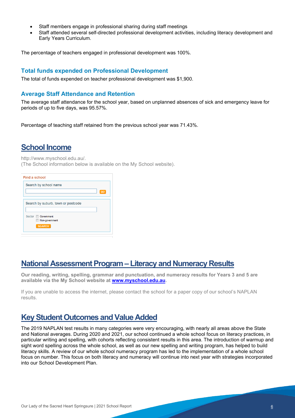- Staff members engage in professional sharing during staff meetings
- Staff attended several self-directed professional development activities, including literacy development and Early Years Curriculum.

The percentage of teachers engaged in professional development was 100%.

#### **Total funds expended on Professional Development**

The total of funds expended on teacher professional development was \$1,900.

#### **Average Staff Attendance and Retention**

The average staff attendance for the school year, based on unplanned absences of sick and emergency leave for periods of up to five days, was 95.57%.

Percentage of teaching staff retained from the previous school year was 71.43%.

# **School Income**

http://www.myschool.edu.au/.

(The School information below is available on the My School website).

| <b>GO</b> |
|-----------|
|           |
|           |
|           |
|           |
|           |
|           |

### **National Assessment Program – Literacy and Numeracy Results**

**Our reading, writing, spelling, grammar and punctuation, and numeracy results for Years 3 and 5 are available via the My School website at [www.myschool.edu.au.](http://www.myschool.edu.au/)** 

If you are unable to access the internet, please contact the school for a paper copy of our school's NAPLAN results.

### **Key Student Outcomes and Value Added**

The 2019 NAPLAN test results in many categories were very encouraging, with nearly all areas above the State and National averages. During 2020 and 2021, our school continued a whole school focus on literacy practices, in particular writing and spelling, with cohorts reflecting consistent results in this area. The introduction of warmup and sight word spelling across the whole school, as well as our new spelling and writing program, has helped to build literacy skills. A review of our whole school numeracy program has led to the implementation of a whole school focus on number. This focus on both literacy and numeracy will continue into next year with strategies incorporated into our School Development Plan.